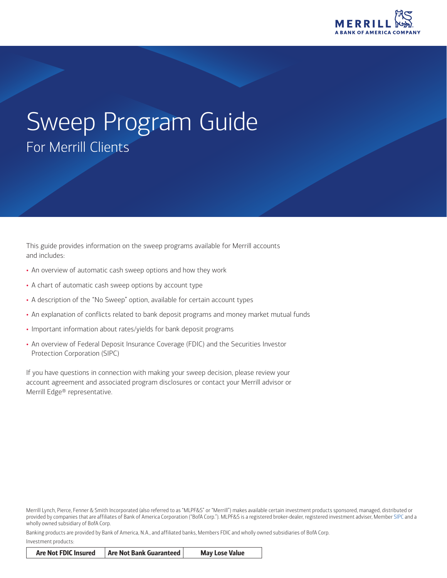

# Sweep Program Guide For Merrill Clients

This guide provides information on the sweep programs available for Merrill accounts and includes:

- An overview of automatic cash sweep options and how they work
- A chart of automatic cash sweep options by account type
- A description of the "No Sweep" option, available for certain account types
- An explanation of conflicts related to bank deposit programs and money market mutual funds
- Important information about rates/yields for bank deposit programs
- An overview of Federal Deposit Insurance Coverage (FDIC) and the Securities Investor Protection Corporation (SIPC)

If you have questions in connection with making your sweep decision, please review your account agreement and associated program disclosures or contact your Merrill advisor or Merrill Edge® representative.

Merrill Lynch, Pierce, Fenner & Smith Incorporated (also referred to as "MLPF&S" or "Merrill") makes available certain investment products sponsored, managed, distributed or provided by companies that are affiliates of Bank of America Corporation ("BofA Corp."). MLPF&S is a registered broker-dealer, registered investment adviser, Member [SIPC](https://www.sipc.org) and a wholly owned subsidiary of BofA Corp.

Banking products are provided by Bank of America, N.A., and affiliated banks, Members FDIC and wholly owned subsidiaries of BofA Corp. Investment products:

| <b>Are Not FDIC Insured</b> | Are Not Bank Guaranteed | <b>May Lose Value</b> |
|-----------------------------|-------------------------|-----------------------|
|-----------------------------|-------------------------|-----------------------|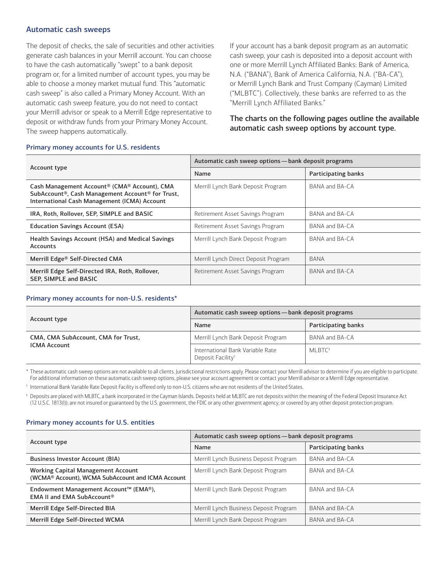#### Automatic cash sweeps

The deposit of checks, the sale of securities and other activities generate cash balances in your Merrill account. You can choose to have the cash automatically "swept" to a bank deposit program or, for a limited number of account types, you may be able to choose a money market mutual fund. This "automatic cash sweep" is also called a Primary Money Account. With an automatic cash sweep feature, you do not need to contact your Merrill advisor or speak to a Merrill Edge representative to deposit or withdraw funds from your Primary Money Account. The sweep happens automatically.

If your account has a bank deposit program as an automatic cash sweep, your cash is deposited into a deposit account with one or more Merrill Lynch Affiliated Banks: Bank of America, N.A. ("BANA"), Bank of America California, N.A. ("BA-CA"), or Merrill Lynch Bank and Trust Company (Cayman) Limited ("MLBTC"). Collectively, these banks are referred to as the "Merrill Lynch Affiliated Banks."

The charts on the following pages outline the available automatic cash sweep options by account type.

#### Primary money accounts for U.S. residents

|                                                                                                                                                                                       | Automatic cash sweep options — bank deposit programs |                     |
|---------------------------------------------------------------------------------------------------------------------------------------------------------------------------------------|------------------------------------------------------|---------------------|
| Account type                                                                                                                                                                          | Name                                                 | Participating banks |
| Cash Management Account <sup>®</sup> (CMA® Account), CMA<br>SubAccount <sup>®</sup> , Cash Management Account <sup>®</sup> for Trust,<br>International Cash Management (ICMA) Account | Merrill Lynch Bank Deposit Program                   | BANA and BA-CA      |
| IRA, Roth, Rollover, SEP, SIMPLE and BASIC                                                                                                                                            | Retirement Asset Savings Program                     | BANA and BA-CA      |
| <b>Education Savings Account (ESA)</b>                                                                                                                                                | Retirement Asset Savings Program                     | BANA and BA-CA      |
| Health Savings Account (HSA) and Medical Savings<br><b>Accounts</b>                                                                                                                   | Merrill Lynch Bank Deposit Program                   | BANA and BA-CA      |
| Merrill Edge® Self-Directed CMA                                                                                                                                                       | Merrill Lynch Direct Deposit Program                 | <b>BANA</b>         |
| Merrill Edge Self-Directed IRA, Roth, Rollover,<br>SEP, SIMPLE and BASIC                                                                                                              | Retirement Asset Savings Program                     | BANA and BA-CA      |

#### Primary money accounts for non-U.S. residents[\\*](#page-1-0)

|                                     | Automatic cash sweep options — bank deposit programs              |                    |
|-------------------------------------|-------------------------------------------------------------------|--------------------|
| Account type                        | Participating banks<br>Name                                       |                    |
| CMA, CMA SubAccount, CMA for Trust, | Merrill Lynch Bank Deposit Program                                | BANA and BA-CA     |
| <b>ICMA Account</b>                 | International Bank Variable Rate<br>Deposit Facility <sup>†</sup> | MLBTC <sup>+</sup> |

<span id="page-1-0"></span>\* These automatic cash sweep options are not available to all clients. Jurisdictional restrictions apply. Please contact your Merrill advisor to determine if you are eligible to participate. For additional information on these automatic cash sweep options, please see your account agreement or contact your Merrill advisor or a Merrill Edge representative.

<span id="page-1-1"></span>† International Bank Variable Rate Deposit Facility is offered only to non-U.S. citizens who are not residents of the United States.

<span id="page-1-2"></span>‡ Deposits are placed with MLBTC, a bank incorporated in the Cayman Islands. Deposits held at MLBTC are not deposits within the meaning of the Federal Deposit Insurance Act (12 U.S.C. 1813(I)); are not insured or guaranteed by the U.S. government, the FDIC or any other government agency; or covered by any other deposit protection program.

#### Primary money accounts for U.S. entities

|                                                                                         | Automatic cash sweep options — bank deposit programs |                     |
|-----------------------------------------------------------------------------------------|------------------------------------------------------|---------------------|
| Account type                                                                            | Name                                                 | Participating banks |
| <b>Business Investor Account (BIA)</b>                                                  | Merrill Lynch Business Deposit Program               | BANA and BA-CA      |
| Working Capital Management Account<br>(WCMA® Account), WCMA SubAccount and ICMA Account | Merrill Lynch Bank Deposit Program                   | BANA and BA-CA      |
| Endowment Management Account™ (EMA®),<br><b>EMA II and EMA SubAccount®</b>              | Merrill Lynch Bank Deposit Program                   | BANA and BA-CA      |
| Merrill Edge Self-Directed BIA                                                          | Merrill Lynch Business Deposit Program               | BANA and BA-CA      |
| Merrill Edge Self-Directed WCMA                                                         | Merrill Lynch Bank Deposit Program                   | BANA and BA-CA      |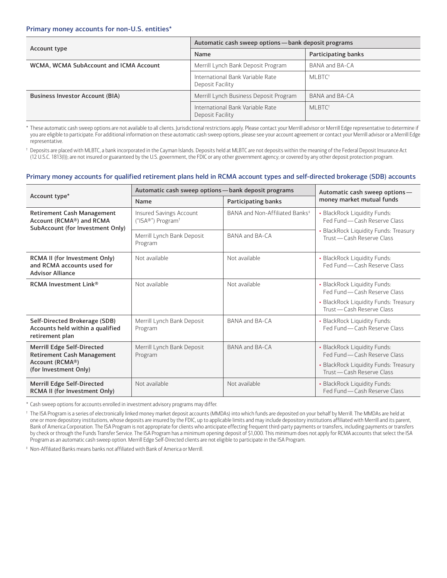#### Primary money accounts for non-U.S. entities[\\*](#page-2-0)

|                                        | Automatic cash sweep options - bank deposit programs |                            |
|----------------------------------------|------------------------------------------------------|----------------------------|
| Account type                           | Name                                                 | <b>Participating banks</b> |
| WCMA, WCMA SubAccount and ICMA Account | Merrill Lynch Bank Deposit Program                   | BANA and BA-CA             |
|                                        | International Bank Variable Rate<br>Deposit Facility | MLBTC <sup>+</sup>         |
| <b>Business Investor Account (BIA)</b> | Merrill Lynch Business Deposit Program               | BANA and BA-CA             |
|                                        | International Bank Variable Rate<br>Deposit Facility | MLBTC <sup>+</sup>         |

<span id="page-2-0"></span>\* These automatic cash sweep options are not available to all clients. Jurisdictional restrictions apply. Please contact your Merrill advisor or Merrill Edge representative to determine if you are eligible to participate. For additional information on these automatic cash sweep options, please see your account agreement or contact your Merrill advisor or a Merrill Edge representative.

<span id="page-2-1"></span>† Deposits are placed with MLBTC, a bank incorporated in the Cayman Islands. Deposits held at MLBTC are not deposits within the meaning of the Federal Deposit Insurance Act (12 U.S.C. 1813(I)); are not insured or guaranteed by the U.S. government, the FDIC or any other government agency; or covered by any other deposit protection program.

#### Primary money accounts for qualified retirement plans held in RCMA account types and self-directed brokerage (SDB) accounts

|                                                                                        | Automatic cash sweep options - bank deposit programs     |                                            | Automatic cash sweep options-                                       |
|----------------------------------------------------------------------------------------|----------------------------------------------------------|--------------------------------------------|---------------------------------------------------------------------|
| Account type*                                                                          | Name                                                     | Participating banks                        | money market mutual funds                                           |
| <b>Retirement Cash Management</b><br>Account (RCMA®) and RCMA                          | Insured Savings Account<br>("ISA®") Program <sup>+</sup> | BANA and Non-Affiliated Banks <sup>+</sup> | • BlackRock Liquidity Funds:<br>Fed Fund - Cash Reserve Class       |
| SubAccount (for Investment Only)                                                       | Merrill Lynch Bank Deposit<br>Program                    | BANA and BA-CA                             | • BlackRock Liquidity Funds: Treasury<br>Trust - Cash Reserve Class |
| RCMA II (for Investment Only)<br>and RCMA accounts used for<br><b>Advisor Alliance</b> | Not available                                            | Not available                              | • BlackRock Liquidity Funds:<br>Fed Fund - Cash Reserve Class       |
| <b>RCMA Investment Link®</b>                                                           | Not available                                            | Not available                              | • BlackRock Liquidity Funds:<br>Fed Fund - Cash Reserve Class       |
|                                                                                        |                                                          |                                            | • BlackRock Liquidity Funds: Treasury<br>Trust - Cash Reserve Class |
| Self-Directed Brokerage (SDB)<br>Accounts held within a qualified<br>retirement plan   | Merrill Lynch Bank Deposit<br>Program                    | BANA and BA-CA                             | • BlackRock Liquidity Funds:<br>Fed Fund - Cash Reserve Class       |
| <b>Merrill Edge Self-Directed</b><br><b>Retirement Cash Management</b>                 | Merrill Lynch Bank Deposit<br>Program                    | BANA and BA-CA                             | • BlackRock Liquidity Funds:<br>Fed Fund - Cash Reserve Class       |
| Account (RCMA®)<br>(for Investment Only)                                               |                                                          |                                            | • BlackRock Liquidity Funds: Treasury<br>Trust - Cash Reserve Class |
| <b>Merrill Edge Self-Directed</b><br>RCMA II (for Investment Only)                     | Not available                                            | Not available                              | • BlackRock Liquidity Funds:<br>Fed Fund - Cash Reserve Class       |

<span id="page-2-2"></span>\* Cash sweep options for accounts enrolled in investment advisory programs may differ.

<span id="page-2-3"></span> $^\mathrm{t}\,$  The ISA Program is a series of electronically linked money market deposit accounts (MMDAs) into which funds are deposited on your behalf by Merrill. The MMDAs are held at one or more depository institutions, whose deposits are insured by the FDIC, up to applicable limits and may include depository institutions affiliated with Merrill and its parent, Bank of America Corporation. The ISA Program is not appropriate for clients who anticipate effecting frequent third-party payments or transfers, including payments or transfers by check or through the Funds Transfer Service. The ISA Program has a minimum opening deposit of \$1,000. This minimum does not apply for RCMA accounts that select the ISA Program as an automatic cash sweep option. Merrill Edge Self-Directed clients are not eligible to participate in the ISA Program.

<span id="page-2-4"></span>‡ Non-Affiliated Banks means banks not affiliated with Bank of America or Merrill.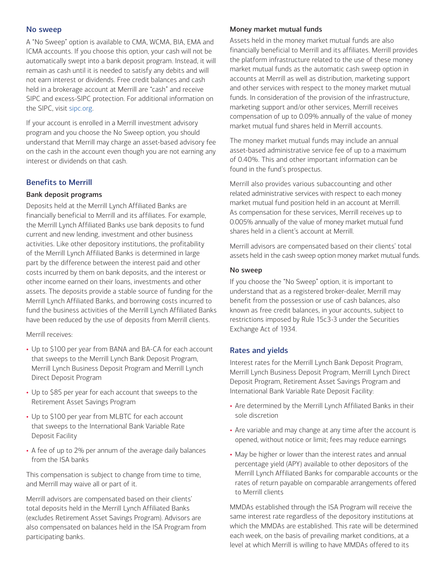#### No sweep

A "No Sweep" option is available to CMA, WCMA, BIA, EMA and ICMA accounts. If you choose this option, your cash will not be automatically swept into a bank deposit program. Instead, it will remain as cash until it is needed to satisfy any debits and will not earn interest or dividends. Free credit balances and cash held in a brokerage account at Merrill are "cash" and receive SIPC and excess-SIPC protection. For additional information on the SIPC, visit [sipc.org](https://www.sipc.org).

If your account is enrolled in a Merrill investment advisory program and you choose the No Sweep option, you should understand that Merrill may charge an asset-based advisory fee on the cash in the account even though you are not earning any interest or dividends on that cash.

# Benefits to Merrill

# Bank deposit programs

Deposits held at the Merrill Lynch Affiliated Banks are financially beneficial to Merrill and its affiliates. For example, the Merrill Lynch Affiliated Banks use bank deposits to fund current and new lending, investment and other business activities. Like other depository institutions, the profitability of the Merrill Lynch Affiliated Banks is determined in large part by the difference between the interest paid and other costs incurred by them on bank deposits, and the interest or other income earned on their loans, investments and other assets. The deposits provide a stable source of funding for the Merrill Lynch Affiliated Banks, and borrowing costs incurred to fund the business activities of the Merrill Lynch Affiliated Banks have been reduced by the use of deposits from Merrill clients.

Merrill receives:

- Up to \$100 per year from BANA and BA-CA for each account that sweeps to the Merrill Lynch Bank Deposit Program, Merrill Lynch Business Deposit Program and Merrill Lynch Direct Deposit Program
- Up to \$85 per year for each account that sweeps to the Retirement Asset Savings Program
- Up to \$100 per year from MLBTC for each account that sweeps to the International Bank Variable Rate Deposit Facility
- A fee of up to 2% per annum of the average daily balances from the ISA banks

This compensation is subject to change from time to time, and Merrill may waive all or part of it.

Merrill advisors are compensated based on their clients' total deposits held in the Merrill Lynch Affiliated Banks (excludes Retirement Asset Savings Program). Advisors are also compensated on balances held in the ISA Program from participating banks.

#### Money market mutual funds

Assets held in the money market mutual funds are also financially beneficial to Merrill and its affiliates. Merrill provides the platform infrastructure related to the use of these money market mutual funds as the automatic cash sweep option in accounts at Merrill as well as distribution, marketing support and other services with respect to the money market mutual funds. In consideration of the provision of the infrastructure, marketing support and/or other services, Merrill receives compensation of up to 0.09% annually of the value of money market mutual fund shares held in Merrill accounts.

The money market mutual funds may include an annual asset-based administrative service fee of up to a maximum of 0.40%. This and other important information can be found in the fund's prospectus.

Merrill also provides various subaccounting and other related administrative services with respect to each money market mutual fund position held in an account at Merrill. As compensation for these services, Merrill receives up to 0.005% annually of the value of money market mutual fund shares held in a client's account at Merrill.

Merrill advisors are compensated based on their clients' total assets held in the cash sweep option money market mutual funds.

# No sweep

If you choose the "No Sweep" option, it is important to understand that as a registered broker-dealer, Merrill may benefit from the possession or use of cash balances, also known as free credit balances, in your accounts, subject to restrictions imposed by Rule 15c3-3 under the Securities Exchange Act of 1934.

# Rates and yields

Interest rates for the Merrill Lynch Bank Deposit Program, Merrill Lynch Business Deposit Program, Merrill Lynch Direct Deposit Program, Retirement Asset Savings Program and International Bank Variable Rate Deposit Facility:

- Are determined by the Merrill Lynch Affiliated Banks in their sole discretion
- Are variable and may change at any time after the account is opened, without notice or limit; fees may reduce earnings
- May be higher or lower than the interest rates and annual percentage yield (APY) available to other depositors of the Merrill Lynch Affiliated Banks for comparable accounts or the rates of return payable on comparable arrangements offered to Merrill clients

MMDAs established through the ISA Program will receive the same interest rate regardless of the depository institutions at which the MMDAs are established. This rate will be determined each week, on the basis of prevailing market conditions, at a level at which Merrill is willing to have MMDAs offered to its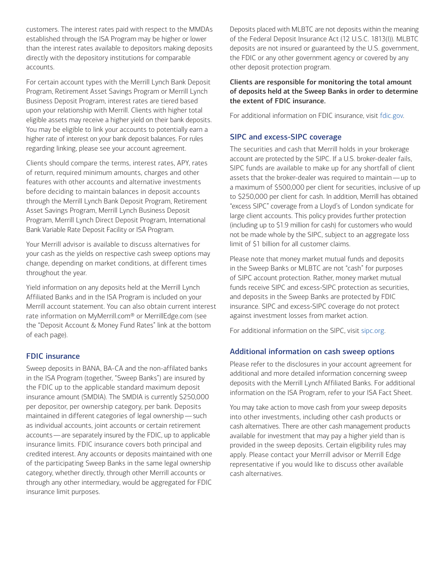customers. The interest rates paid with respect to the MMDAs established through the ISA Program may be higher or lower than the interest rates available to depositors making deposits directly with the depository institutions for comparable accounts.

For certain account types with the Merrill Lynch Bank Deposit Program, Retirement Asset Savings Program or Merrill Lynch Business Deposit Program, interest rates are tiered based upon your relationship with Merrill. Clients with higher total eligible assets may receive a higher yield on their bank deposits. You may be eligible to link your accounts to potentially earn a higher rate of interest on your bank deposit balances. For rules regarding linking, please see your account agreement.

Clients should compare the terms, interest rates, APY, rates of return, required minimum amounts, charges and other features with other accounts and alternative investments before deciding to maintain balances in deposit accounts through the Merrill Lynch Bank Deposit Program, Retirement Asset Savings Program, Merrill Lynch Business Deposit Program, Merrill Lynch Direct Deposit Program, International Bank Variable Rate Deposit Facility or ISA Program.

Your Merrill advisor is available to discuss alternatives for your cash as the yields on respective cash sweep options may change, depending on market conditions, at different times throughout the year.

Yield information on any deposits held at the Merrill Lynch Affiliated Banks and in the ISA Program is included on your Merrill account statement. You can also obtain current interest rate information on [MyMerrill.com®](http://MyMerrill.com) or [MerrillEdge.com](http://MerrillEdge.com) (see the "Deposit Account & Money Fund Rates" link at the bottom of each page).

# FDIC insurance

Sweep deposits in BANA, BA-CA and the non-affilated banks in the ISA Program (together, "Sweep Banks") are insured by the FDIC up to the applicable standard maximum deposit insurance amount (SMDIA). The SMDIA is currently \$250,000 per depositor, per ownership category, per bank. Deposits maintained in different categories of legal ownership — such as individual accounts, joint accounts or certain retirement accounts — are separately insured by the FDIC, up to applicable insurance limits. FDIC insurance covers both principal and credited interest. Any accounts or deposits maintained with one of the participating Sweep Banks in the same legal ownership category, whether directly, through other Merrill accounts or through any other intermediary, would be aggregated for FDIC insurance limit purposes.

Deposits placed with MLBTC are not deposits within the meaning of the Federal Deposit Insurance Act (12 U.S.C. 1813(I)). MLBTC deposits are not insured or guaranteed by the U.S. government, the FDIC or any other government agency or covered by any other deposit protection program.

# Clients are responsible for monitoring the total amount of deposits held at the Sweep Banks in order to determine the extent of FDIC insurance.

For additional information on FDIC insurance, visit [fdic.gov](http://fdic.gov).

# SIPC and excess-SIPC coverage

The securities and cash that Merrill holds in your brokerage account are protected by the SIPC. If a U.S. broker-dealer fails, SIPC funds are available to make up for any shortfall of client assets that the broker-dealer was required to maintain — up to a maximum of \$500,000 per client for securities, inclusive of up to \$250,000 per client for cash. In addition, Merrill has obtained "excess SIPC" coverage from a Lloyd's of London syndicate for large client accounts. This policy provides further protection (including up to \$1.9 million for cash) for customers who would not be made whole by the SIPC, subject to an aggregate loss limit of \$1 billion for all customer claims.

Please note that money market mutual funds and deposits in the Sweep Banks or MLBTC are not "cash" for purposes of SIPC account protection. Rather, money market mutual funds receive SIPC and excess-SIPC protection as securities, and deposits in the Sweep Banks are protected by FDIC insurance. SIPC and excess-SIPC coverage do not protect against investment losses from market action.

For additional information on the SIPC, visit [sipc.org.](https://www.sipc.org)

# Additional information on cash sweep options

Please refer to the disclosures in your account agreement for additional and more detailed information concerning sweep deposits with the Merrill Lynch Affiliated Banks. For additional information on the ISA Program, refer to your ISA Fact Sheet.

You may take action to move cash from your sweep deposits into other investments, including other cash products or cash alternatives. There are other cash management products available for investment that may pay a higher yield than is provided in the sweep deposits. Certain eligibility rules may apply. Please contact your Merrill advisor or Merrill Edge representative if you would like to discuss other available cash alternatives.